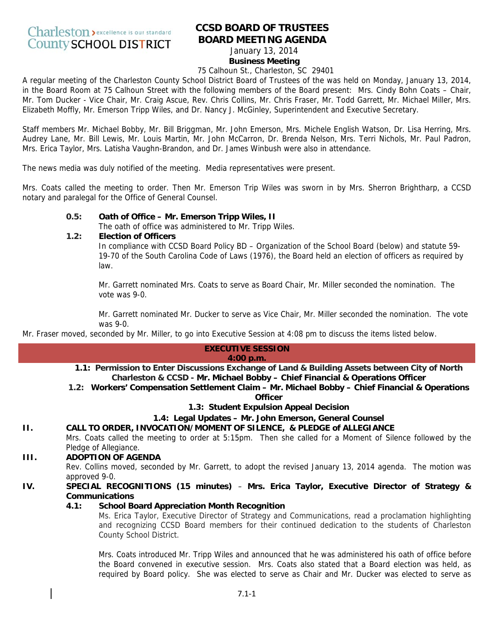# **CCSD BOARD OF TRUSTEES BOARD MEETING AGENDA**

#### January 13, 2014 **Business Meeting**

# 75 Calhoun St., Charleston, SC 29401

A regular meeting of the Charleston County School District Board of Trustees of the was held on Monday, January 13, 2014, in the Board Room at 75 Calhoun Street with the following members of the Board present: Mrs. Cindy Bohn Coats – Chair, Mr. Tom Ducker - Vice Chair, Mr. Craig Ascue, Rev. Chris Collins, Mr. Chris Fraser, Mr. Todd Garrett, Mr. Michael Miller, Mrs. Elizabeth Moffly, Mr. Emerson Tripp Wiles, and Dr. Nancy J. McGinley, Superintendent and Executive Secretary.

Staff members Mr. Michael Bobby, Mr. Bill Briggman, Mr. John Emerson, Mrs. Michele English Watson, Dr. Lisa Herring, Mrs. Audrey Lane, Mr. Bill Lewis, Mr. Louis Martin, Mr. John McCarron, Dr. Brenda Nelson, Mrs. Terri Nichols, Mr. Paul Padron, Mrs. Erica Taylor, Mrs. Latisha Vaughn-Brandon, and Dr. James Winbush were also in attendance.

The news media was duly notified of the meeting. Media representatives were present.

Mrs. Coats called the meeting to order. Then Mr. Emerson Trip Wiles was sworn in by Mrs. Sherron Brightharp, a CCSD notary and paralegal for the Office of General Counsel.

# **0.5: Oath of Office – Mr. Emerson Tripp Wiles, II**

The oath of office was administered to Mr. Tripp Wiles.

**1.2: Election of Officers** 

In compliance with CCSD Board Policy BD – Organization of the School Board (below) and statute 59- 19-70 of the South Carolina Code of Laws (1976), the Board held an election of officers as required by law.

Mr. Garrett nominated Mrs. Coats to serve as Board Chair, Mr. Miller seconded the nomination. The vote was 9-0.

Mr. Garrett nominated Mr. Ducker to serve as Vice Chair, Mr. Miller seconded the nomination. The vote was 9-0.

Mr. Fraser moved, seconded by Mr. Miller, to go into Executive Session at 4:08 pm to discuss the items listed below.

# **EXECUTIVE SESSION**

#### **4:00 p.m.**

- **1.1: Permission to Enter Discussions Exchange of Land & Building Assets between City of North Charleston & CCSD - Mr. Michael Bobby – Chief Financial & Operations Officer**
- **1.2: Workers' Compensation Settlement Claim Mr. Michael Bobby Chief Financial & Operations Officer**

**1.3: Student Expulsion Appeal Decision**

# **1.4: Legal Updates – Mr. John Emerson, General Counsel**

# **II. CALL TO ORDER, INVOCATION/MOMENT OF SILENCE, & PLEDGE of ALLEGIANCE**

Mrs. Coats called the meeting to order at 5:15pm. Then she called for a Moment of Silence followed by the Pledge of Allegiance.

# **III. ADOPTION OF AGENDA**

Rev. Collins moved, seconded by Mr. Garrett, to adopt the revised January 13, 2014 agenda. The motion was approved 9-0.

# **IV. SPECIAL RECOGNITIONS (15 minutes)** – **Mrs. Erica Taylor, Executive Director of Strategy & Communications**

# **4.1: School Board Appreciation Month Recognition**

Ms. Erica Taylor, Executive Director of Strategy and Communications, read a proclamation highlighting and recognizing CCSD Board members for their continued dedication to the students of Charleston County School District.

Mrs. Coats introduced Mr. Tripp Wiles and announced that he was administered his oath of office before the Board convened in executive session. Mrs. Coats also stated that a Board election was held, as required by Board policy. She was elected to serve as Chair and Mr. Ducker was elected to serve as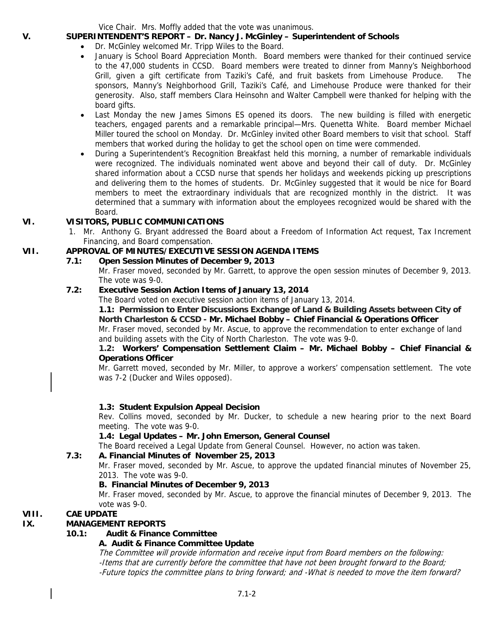Vice Chair. Mrs. Moffly added that the vote was unanimous.

# **V. SUPERINTENDENT'S REPORT – Dr. Nancy J. McGinley – Superintendent of Schools**

- Dr. McGinley welcomed Mr. Tripp Wiles to the Board.
- January is School Board Appreciation Month. Board members were thanked for their continued service to the 47,000 students in CCSD. Board members were treated to dinner from Manny's Neighborhood Grill, given a gift certificate from Taziki's Café, and fruit baskets from Limehouse Produce. The sponsors, Manny's Neighborhood Grill, Taziki's Café, and Limehouse Produce were thanked for their generosity. Also, staff members Clara Heinsohn and Walter Campbell were thanked for helping with the board gifts.
- Last Monday the new James Simons ES opened its doors. The new building is filled with energetic teachers, engaged parents and a remarkable principal—Mrs. Quenetta White. Board member Michael Miller toured the school on Monday. Dr. McGinley invited other Board members to visit that school. Staff members that worked during the holiday to get the school open on time were commended.
- During a Superintendent's Recognition Breakfast held this morning, a number of remarkable individuals were recognized. The individuals nominated went above and beyond their call of duty. Dr. McGinley shared information about a CCSD nurse that spends her holidays and weekends picking up prescriptions and delivering them to the homes of students. Dr. McGinley suggested that it would be nice for Board members to meet the extraordinary individuals that are recognized monthly in the district. It was determined that a summary with information about the employees recognized would be shared with the Board.

# **VI. VISITORS, PUBLIC COMMUNICATIONS**

1. Mr. Anthony G. Bryant addressed the Board about a Freedom of Information Act request, Tax Increment Financing, and Board compensation.

# **VII. APPROVAL OF MINUTES/EXECUTIVE SESSION AGENDA ITEMS**

**7.1: Open Session Minutes of December 9, 2013** 

Mr. Fraser moved, seconded by Mr. Garrett, to approve the open session minutes of December 9, 2013. The vote was 9-0.

# **7.2: Executive Session Action Items of January 13, 2014**

The Board voted on executive session action items of January 13, 2014.

## **1.1: Permission to Enter Discussions Exchange of Land & Building Assets between City of North Charleston & CCSD - Mr. Michael Bobby – Chief Financial & Operations Officer**

Mr. Fraser moved, seconded by Mr. Ascue, to approve the recommendation to enter exchange of land and building assets with the City of North Charleston. The vote was 9-0.

# **1.2: Workers' Compensation Settlement Claim – Mr. Michael Bobby – Chief Financial & Operations Officer**

Mr. Garrett moved, seconded by Mr. Miller, to approve a workers' compensation settlement. The vote was 7-2 (Ducker and Wiles opposed).

# **1.3: Student Expulsion Appeal Decision**

Rev. Collins moved, seconded by Mr. Ducker, to schedule a new hearing prior to the next Board meeting. The vote was 9-0.

#### **1.4: Legal Updates – Mr. John Emerson, General Counsel**

The Board received a Legal Update from General Counsel. However, no action was taken.

#### **7.3: A. Financial Minutes of November 25, 2013**

Mr. Fraser moved, seconded by Mr. Ascue, to approve the updated financial minutes of November 25, 2013. The vote was 9-0.

## **B. Financial Minutes of December 9, 2013**

Mr. Fraser moved, seconded by Mr. Ascue, to approve the financial minutes of December 9, 2013. The vote was 9-0.

# **VIII. CAE UPDATE**

# **IX. MANAGEMENT REPORTS**

# **10.1: Audit & Finance Committee**

# **A. Audit & Finance Committee Update**

The Committee will provide information and receive input from Board members on the following: -Items that are currently before the committee that have not been brought forward to the Board; -Future topics the committee plans to bring forward; and -What is needed to move the item forward?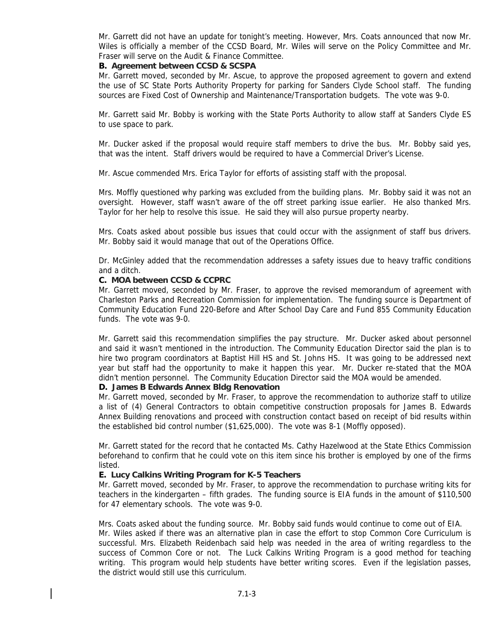Mr. Garrett did not have an update for tonight's meeting. However, Mrs. Coats announced that now Mr. Wiles is officially a member of the CCSD Board, Mr. Wiles will serve on the Policy Committee and Mr. Fraser will serve on the Audit & Finance Committee.

#### **B. Agreement between CCSD & SCSPA**

Mr. Garrett moved, seconded by Mr. Ascue, to approve the proposed agreement to govern and extend the use of SC State Ports Authority Property for parking for Sanders Clyde School staff. The funding sources are Fixed Cost of Ownership and Maintenance/Transportation budgets. The vote was 9-0.

Mr. Garrett said Mr. Bobby is working with the State Ports Authority to allow staff at Sanders Clyde ES to use space to park.

Mr. Ducker asked if the proposal would require staff members to drive the bus. Mr. Bobby said yes, that was the intent. Staff drivers would be required to have a Commercial Driver's License.

Mr. Ascue commended Mrs. Erica Taylor for efforts of assisting staff with the proposal.

Mrs. Moffly questioned why parking was excluded from the building plans. Mr. Bobby said it was not an oversight. However, staff wasn't aware of the off street parking issue earlier. He also thanked Mrs. Taylor for her help to resolve this issue. He said they will also pursue property nearby.

Mrs. Coats asked about possible bus issues that could occur with the assignment of staff bus drivers. Mr. Bobby said it would manage that out of the Operations Office.

Dr. McGinley added that the recommendation addresses a safety issues due to heavy traffic conditions and a ditch.

#### **C. MOA between CCSD & CCPRC**

Mr. Garrett moved, seconded by Mr. Fraser, to approve the revised memorandum of agreement with Charleston Parks and Recreation Commission for implementation. The funding source is Department of Community Education Fund 220-Before and After School Day Care and Fund 855 Community Education funds. The vote was 9-0.

Mr. Garrett said this recommendation simplifies the pay structure. Mr. Ducker asked about personnel and said it wasn't mentioned in the introduction. The Community Education Director said the plan is to hire two program coordinators at Baptist Hill HS and St. Johns HS. It was going to be addressed next year but staff had the opportunity to make it happen this year. Mr. Ducker re-stated that the MOA didn't mention personnel. The Community Education Director said the MOA would be amended.

#### **D. James B Edwards Annex Bldg Renovation**

Mr. Garrett moved, seconded by Mr. Fraser, to approve the recommendation to authorize staff to utilize a list of (4) General Contractors to obtain competitive construction proposals for James B. Edwards Annex Building renovations and proceed with construction contact based on receipt of bid results within the established bid control number (\$1,625,000). The vote was 8-1 (Moffly opposed).

Mr. Garrett stated for the record that he contacted Ms. Cathy Hazelwood at the State Ethics Commission beforehand to confirm that he could vote on this item since his brother is employed by one of the firms listed.

#### **E. Lucy Calkins Writing Program for K-5 Teachers**

Mr. Garrett moved, seconded by Mr. Fraser, to approve the recommendation to purchase writing kits for teachers in the kindergarten – fifth grades. The funding source is EIA funds in the amount of \$110,500 for 47 elementary schools. The vote was 9-0.

Mrs. Coats asked about the funding source. Mr. Bobby said funds would continue to come out of EIA. Mr. Wiles asked if there was an alternative plan in case the effort to stop Common Core Curriculum is successful. Mrs. Elizabeth Reidenbach said help was needed in the area of writing regardless to the success of Common Core or not. The Luck Calkins Writing Program is a good method for teaching writing. This program would help students have better writing scores. Even if the legislation passes, the district would still use this curriculum.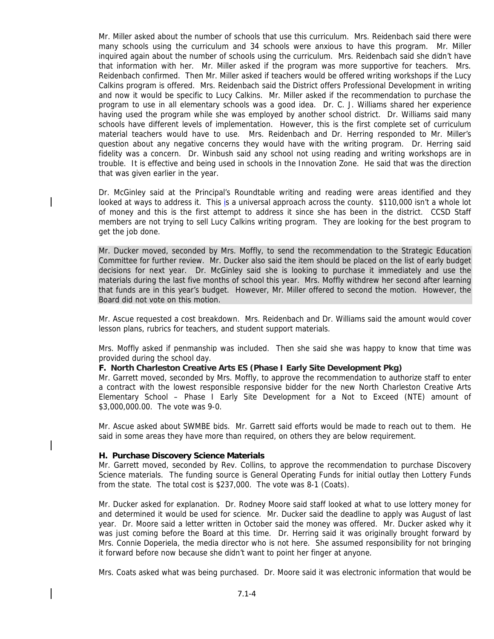Mr. Miller asked about the number of schools that use this curriculum. Mrs. Reidenbach said there were many schools using the curriculum and 34 schools were anxious to have this program. Mr. Miller inquired again about the number of schools using the curriculum. Mrs. Reidenbach said she didn't have that information with her. Mr. Miller asked if the program was more supportive for teachers. Mrs. Reidenbach confirmed. Then Mr. Miller asked if teachers would be offered writing workshops if the Lucy Calkins program is offered. Mrs. Reidenbach said the District offers Professional Development in writing and now it would be specific to Lucy Calkins. Mr. Miller asked if the recommendation to purchase the program to use in all elementary schools was a good idea. Dr. C. J. Williams shared her experience having used the program while she was employed by another school district. Dr. Williams said many schools have different levels of implementation. However, this is the first complete set of curriculum material teachers would have to use. Mrs. Reidenbach and Dr. Herring responded to Mr. Miller's question about any negative concerns they would have with the writing program. Dr. Herring said fidelity was a concern. Dr. Winbush said any school not using reading and writing workshops are in trouble. It is effective and being used in schools in the Innovation Zone. He said that was the direction that was given earlier in the year.

Dr. McGinley said at the Principal's Roundtable writing and reading were areas identified and they looked at ways to address it. This is a universal approach across the county. \$110,000 isn't a whole lot of money and this is the first attempt to address it since she has been in the district. CCSD Staff members are not trying to sell Lucy Calkins writing program. They are looking for the best program to get the job done.

Mr. Ducker moved, seconded by Mrs. Moffly, to send the recommendation to the Strategic Education Committee for further review. Mr. Ducker also said the item should be placed on the list of early budget decisions for next year. Dr. McGinley said she is looking to purchase it immediately and use the materials during the last five months of school this year. Mrs. Moffly withdrew her second after learning that funds are in this year's budget. However, Mr. Miller offered to second the motion. However, the Board did not vote on this motion.

Mr. Ascue requested a cost breakdown. Mrs. Reidenbach and Dr. Williams said the amount would cover lesson plans, rubrics for teachers, and student support materials.

Mrs. Moffly asked if penmanship was included. Then she said she was happy to know that time was provided during the school day.

#### **F. North Charleston Creative Arts ES (Phase I Early Site Development Pkg)**

Mr. Garrett moved, seconded by Mrs. Moffly, to approve the recommendation to authorize staff to enter a contract with the lowest responsible responsive bidder for the new North Charleston Creative Arts Elementary School – Phase I Early Site Development for a Not to Exceed (NTE) amount of \$3,000,000.00. The vote was 9-0.

Mr. Ascue asked about SWMBE bids. Mr. Garrett said efforts would be made to reach out to them. He said in some areas they have more than required, on others they are below requirement.

#### **H. Purchase Discovery Science Materials**

Mr. Garrett moved, seconded by Rev. Collins, to approve the recommendation to purchase Discovery Science materials. The funding source is General Operating Funds for initial outlay then Lottery Funds from the state. The total cost is \$237,000. The vote was 8-1 (Coats).

Mr. Ducker asked for explanation. Dr. Rodney Moore said staff looked at what to use lottery money for and determined it would be used for science. Mr. Ducker said the deadline to apply was August of last year. Dr. Moore said a letter written in October said the money was offered. Mr. Ducker asked why it was just coming before the Board at this time. Dr. Herring said it was originally brought forward by Mrs. Connie Doperiela, the media director who is not here. She assumed responsibility for not bringing it forward before now because she didn't want to point her finger at anyone.

Mrs. Coats asked what was being purchased. Dr. Moore said it was electronic information that would be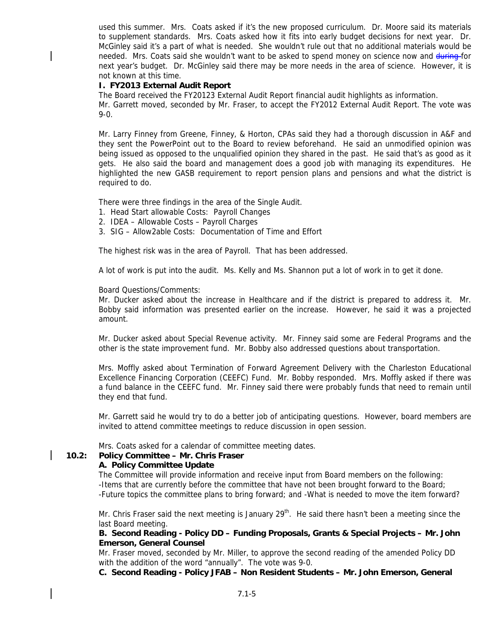used this summer. Mrs. Coats asked if it's the new proposed curriculum. Dr. Moore said its materials to supplement standards. Mrs. Coats asked how it fits into early budget decisions for next year. Dr. McGinley said it's a part of what is needed. She wouldn't rule out that no additional materials would be needed. Mrs. Coats said she wouldn't want to be asked to spend money on science now and during for next year's budget. Dr. McGinley said there may be more needs in the area of science. However, it is not known at this time.

#### **I. FY2013 External Audit Report**

The Board received the FY20123 External Audit Report financial audit highlights as information.

Mr. Garrett moved, seconded by Mr. Fraser, to accept the FY2012 External Audit Report. The vote was 9-0.

Mr. Larry Finney from Greene, Finney, & Horton, CPAs said they had a thorough discussion in A&F and they sent the PowerPoint out to the Board to review beforehand. He said an unmodified opinion was being issued as opposed to the unqualified opinion they shared in the past. He said that's as good as it gets. He also said the board and management does a good job with managing its expenditures. He highlighted the new GASB requirement to report pension plans and pensions and what the district is required to do.

There were three findings in the area of the Single Audit.

- 1. Head Start allowable Costs: Payroll Changes
- 2. IDEA Allowable Costs Payroll Charges
- 3. SIG Allow2able Costs: Documentation of Time and Effort

The highest risk was in the area of Payroll. That has been addressed.

A lot of work is put into the audit. Ms. Kelly and Ms. Shannon put a lot of work in to get it done.

#### Board Questions/Comments:

Mr. Ducker asked about the increase in Healthcare and if the district is prepared to address it. Mr. Bobby said information was presented earlier on the increase. However, he said it was a projected amount.

Mr. Ducker asked about Special Revenue activity. Mr. Finney said some are Federal Programs and the other is the state improvement fund. Mr. Bobby also addressed questions about transportation.

Mrs. Moffly asked about Termination of Forward Agreement Delivery with the Charleston Educational Excellence Financing Corporation (CEEFC) Fund. Mr. Bobby responded. Mrs. Moffly asked if there was a fund balance in the CEEFC fund. Mr. Finney said there were probably funds that need to remain until they end that fund.

Mr. Garrett said he would try to do a better job of anticipating questions. However, board members are invited to attend committee meetings to reduce discussion in open session.

Mrs. Coats asked for a calendar of committee meeting dates.

#### **10.2: Policy Committee – Mr. Chris Fraser**

#### **A. Policy Committee Update**

The Committee will provide information and receive input from Board members on the following: -Items that are currently before the committee that have not been brought forward to the Board; -Future topics the committee plans to bring forward; and -What is needed to move the item forward?

Mr. Chris Fraser said the next meeting is January 29<sup>th</sup>. He said there hasn't been a meeting since the last Board meeting.

#### **B. Second Reading - Policy DD – Funding Proposals, Grants & Special Projects – Mr. John Emerson, General Counsel**

Mr. Fraser moved, seconded by Mr. Miller, to approve the second reading of the amended Policy DD with the addition of the word "annually". The vote was 9-0.

**C. Second Reading - Policy JFAB – Non Resident Students – Mr. John Emerson, General**